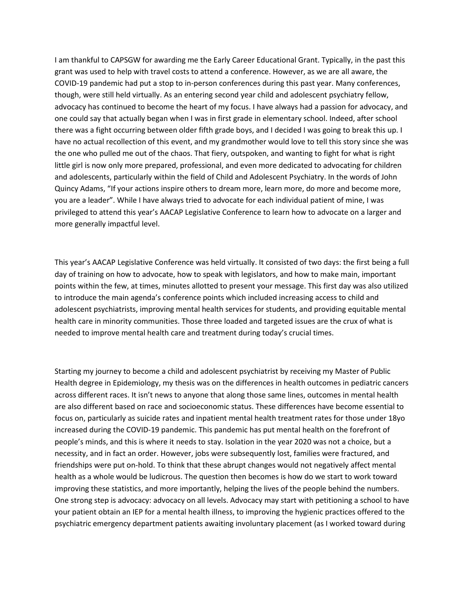I am thankful to CAPSGW for awarding me the Early Career Educational Grant. Typically, in the past this grant was used to help with travel costs to attend a conference. However, as we are all aware, the COVID-19 pandemic had put a stop to in-person conferences during this past year. Many conferences, though, were still held virtually. As an entering second year child and adolescent psychiatry fellow, advocacy has continued to become the heart of my focus. I have always had a passion for advocacy, and one could say that actually began when I was in first grade in elementary school. Indeed, after school there was a fight occurring between older fifth grade boys, and I decided I was going to break this up. I have no actual recollection of this event, and my grandmother would love to tell this story since she was the one who pulled me out of the chaos. That fiery, outspoken, and wanting to fight for what is right little girl is now only more prepared, professional, and even more dedicated to advocating for children and adolescents, particularly within the field of Child and Adolescent Psychiatry. In the words of John Quincy Adams, "If your actions inspire others to dream more, learn more, do more and become more, you are a leader". While I have always tried to advocate for each individual patient of mine, I was privileged to attend this year's AACAP Legislative Conference to learn how to advocate on a larger and more generally impactful level.

This year's AACAP Legislative Conference was held virtually. It consisted of two days: the first being a full day of training on how to advocate, how to speak with legislators, and how to make main, important points within the few, at times, minutes allotted to present your message. This first day was also utilized to introduce the main agenda's conference points which included increasing access to child and adolescent psychiatrists, improving mental health services for students, and providing equitable mental health care in minority communities. Those three loaded and targeted issues are the crux of what is needed to improve mental health care and treatment during today's crucial times.

Starting my journey to become a child and adolescent psychiatrist by receiving my Master of Public Health degree in Epidemiology, my thesis was on the differences in health outcomes in pediatric cancers across different races. It isn't news to anyone that along those same lines, outcomes in mental health are also different based on race and socioeconomic status. These differences have become essential to focus on, particularly as suicide rates and inpatient mental health treatment rates for those under 18yo increased during the COVID-19 pandemic. This pandemic has put mental health on the forefront of people's minds, and this is where it needs to stay. Isolation in the year 2020 was not a choice, but a necessity, and in fact an order. However, jobs were subsequently lost, families were fractured, and friendships were put on-hold. To think that these abrupt changes would not negatively affect mental health as a whole would be ludicrous. The question then becomes is how do we start to work toward improving these statistics, and more importantly, helping the lives of the people behind the numbers. One strong step is advocacy: advocacy on all levels. Advocacy may start with petitioning a school to have your patient obtain an IEP for a mental health illness, to improving the hygienic practices offered to the psychiatric emergency department patients awaiting involuntary placement (as I worked toward during